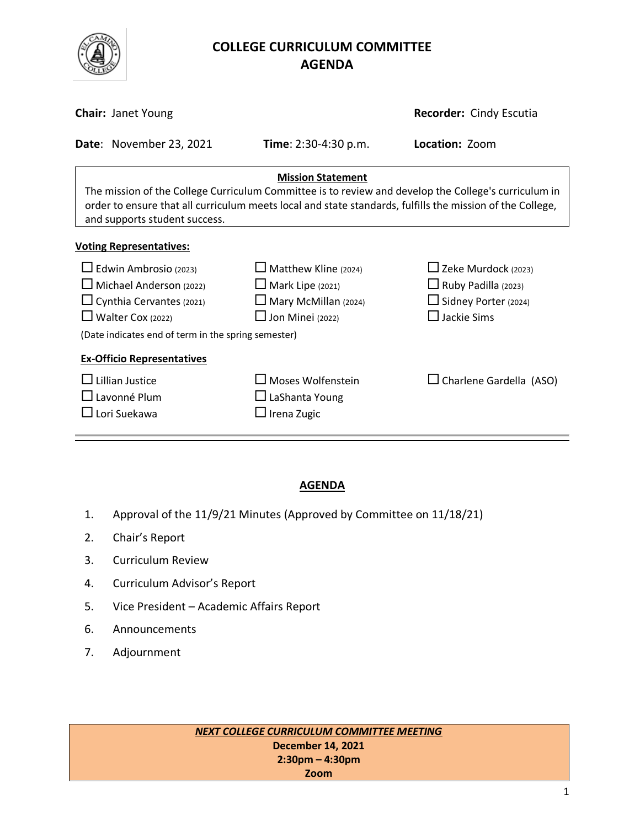

# **COLLEGE CURRICULUM COMMITTEE** **AGENDA**

| <b>Chair: Janet Young</b>                                                                                                                                                                                                                                                      |                                                                                                                  | Recorder: Cindy Escutia                                                                                       |  |  |  |
|--------------------------------------------------------------------------------------------------------------------------------------------------------------------------------------------------------------------------------------------------------------------------------|------------------------------------------------------------------------------------------------------------------|---------------------------------------------------------------------------------------------------------------|--|--|--|
| Date: November 23, 2021                                                                                                                                                                                                                                                        | <b>Time</b> : $2:30-4:30$ p.m.                                                                                   | Location: Zoom                                                                                                |  |  |  |
| <b>Mission Statement</b><br>The mission of the College Curriculum Committee is to review and develop the College's curriculum in<br>order to ensure that all curriculum meets local and state standards, fulfills the mission of the College,<br>and supports student success. |                                                                                                                  |                                                                                                               |  |  |  |
| <b>Voting Representatives:</b>                                                                                                                                                                                                                                                 |                                                                                                                  |                                                                                                               |  |  |  |
| $\Box$ Edwin Ambrosio (2023)<br>$\Box$ Michael Anderson (2022)<br>$\Box$ Cynthia Cervantes (2021)<br>$\Box$ Walter Cox (2022)<br>(Date indicates end of term in the spring semester)                                                                                           | $\Box$ Matthew Kline (2024)<br>$\Box$ Mark Lipe (2021)<br>$\Box$ Mary McMillan (2024)<br>$\Box$ Jon Minei (2022) | $\Box$ Zeke Murdock (2023)<br>$\Box$ Ruby Padilla (2023)<br>$\Box$ Sidney Porter (2024)<br>$\Box$ Jackie Sims |  |  |  |
| <b>Ex-Officio Representatives</b><br><b>Lillian Justice</b><br>$\Box$ Lavonné Plum<br>$\square$ Lori Suekawa                                                                                                                                                                   | $\square$ Moses Wolfenstein<br>$\Box$ LaShanta Young<br>$\square$ Irena Zugic                                    | $\Box$ Charlene Gardella (ASO)                                                                                |  |  |  |

#### **AGENDA**

- 1. Approval of the 11/9/21 Minutes (Approved by Committee on 11/18/21)
- 2. Chair's Report
- 3. Curriculum Review
- 4. Curriculum Advisor's Report
- 5. Vice President Academic Affairs Report
- 6. Announcements
- 7. Adjournment

*NEXT COLLEGE CURRICULUM COMMITTEE MEETING* **December 14, 2021 2:30pm – 4:30pm Zoom**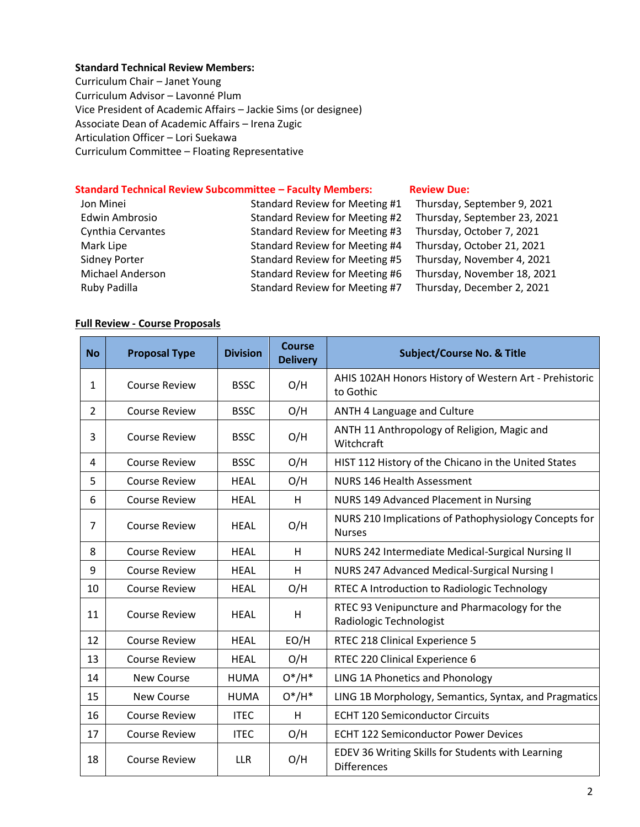#### **Standard Technical Review Members:**

Curriculum Chair – Janet Young Curriculum Advisor – Lavonné Plum Vice President of Academic Affairs – Jackie Sims (or designee) Associate Dean of Academic Affairs – Irena Zugic Articulation Officer – Lori Suekawa Curriculum Committee – Floating Representative

## **Standard Technical Review Subcommittee – Faculty Members: [Review](http://www.curricunet.com/elcamino/documents/Spring%202016%20CCC%20Timeline.pdf) Due:**

| Jon Minei            | Standard Review for Meeting #1 | Thursday, September 9, 2021  |
|----------------------|--------------------------------|------------------------------|
| Edwin Ambrosio       | Standard Review for Meeting #2 | Thursday, September 23, 2021 |
| Cynthia Cervantes    | Standard Review for Meeting #3 | Thursday, October 7, 2021    |
| Mark Lipe            | Standard Review for Meeting #4 | Thursday, October 21, 2021   |
| <b>Sidney Porter</b> | Standard Review for Meeting #5 | Thursday, November 4, 2021   |
| Michael Anderson     | Standard Review for Meeting #6 | Thursday, November 18, 2021  |
| Ruby Padilla         | Standard Review for Meeting #7 | Thursday, December 2, 2021   |

#### **Full Review - Course Proposals**

| <b>No</b>      | <b>Proposal Type</b> | <b>Division</b> | <b>Course</b><br><b>Delivery</b> | <b>Subject/Course No. &amp; Title</b>                                    |
|----------------|----------------------|-----------------|----------------------------------|--------------------------------------------------------------------------|
| 1              | <b>Course Review</b> | <b>BSSC</b>     | O/H                              | AHIS 102AH Honors History of Western Art - Prehistoric<br>to Gothic      |
| $\overline{2}$ | <b>Course Review</b> | <b>BSSC</b>     | O/H                              | ANTH 4 Language and Culture                                              |
| 3              | <b>Course Review</b> | <b>BSSC</b>     | O/H                              | ANTH 11 Anthropology of Religion, Magic and<br>Witchcraft                |
| 4              | <b>Course Review</b> | <b>BSSC</b>     | O/H                              | HIST 112 History of the Chicano in the United States                     |
| 5              | <b>Course Review</b> | <b>HEAL</b>     | O/H                              | <b>NURS 146 Health Assessment</b>                                        |
| 6              | <b>Course Review</b> | <b>HEAL</b>     | H                                | NURS 149 Advanced Placement in Nursing                                   |
| 7              | <b>Course Review</b> | <b>HEAL</b>     | O/H                              | NURS 210 Implications of Pathophysiology Concepts for<br><b>Nurses</b>   |
| 8              | <b>Course Review</b> | <b>HEAL</b>     | H                                | NURS 242 Intermediate Medical-Surgical Nursing II                        |
| 9              | <b>Course Review</b> | <b>HEAL</b>     | H                                | NURS 247 Advanced Medical-Surgical Nursing I                             |
| 10             | <b>Course Review</b> | <b>HEAL</b>     | O/H                              | RTEC A Introduction to Radiologic Technology                             |
| 11             | <b>Course Review</b> | <b>HEAL</b>     | H                                | RTEC 93 Venipuncture and Pharmacology for the<br>Radiologic Technologist |
| 12             | <b>Course Review</b> | <b>HEAL</b>     | EO/H                             | RTEC 218 Clinical Experience 5                                           |
| 13             | <b>Course Review</b> | <b>HEAL</b>     | O/H                              | RTEC 220 Clinical Experience 6                                           |
| 14             | <b>New Course</b>    | <b>HUMA</b>     | $O^*/H^*$                        | LING 1A Phonetics and Phonology                                          |
| 15             | <b>New Course</b>    | <b>HUMA</b>     | $O^*/H^*$                        | LING 1B Morphology, Semantics, Syntax, and Pragmatics                    |
| 16             | <b>Course Review</b> | <b>ITEC</b>     | H                                | <b>ECHT 120 Semiconductor Circuits</b>                                   |
| 17             | <b>Course Review</b> | <b>ITEC</b>     | O/H                              | <b>ECHT 122 Semiconductor Power Devices</b>                              |
| 18             | <b>Course Review</b> | <b>LLR</b>      | O/H                              | EDEV 36 Writing Skills for Students with Learning<br><b>Differences</b>  |